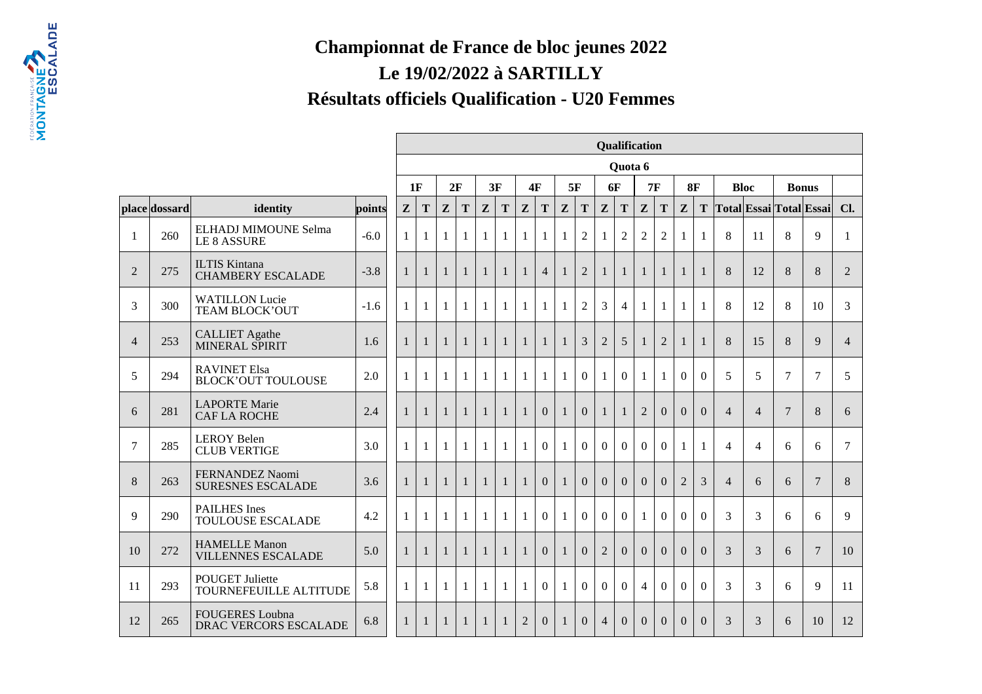## **Championnat de France de bloc jeunes 2022Le 19/02/2022 à SARTILLYRésultats officiels Qualification - U20 Femmes**

|                |               |                                                        |        |              |              |              |                |                |              |                |                |              |                |                | Qualification  |                |                |                |                |                |                |                |                         |                |
|----------------|---------------|--------------------------------------------------------|--------|--------------|--------------|--------------|----------------|----------------|--------------|----------------|----------------|--------------|----------------|----------------|----------------|----------------|----------------|----------------|----------------|----------------|----------------|----------------|-------------------------|----------------|
|                |               |                                                        |        |              |              |              |                |                |              |                |                |              |                |                | Quota 6        |                |                |                |                |                |                |                |                         |                |
|                |               |                                                        |        | 1F           |              | 2F           |                | 3F             |              |                | 4F             |              | 5F             | <b>6F</b>      |                |                | <b>7F</b>      | 8F             |                |                | <b>Bloc</b>    | <b>Bonus</b>   |                         |                |
|                | place dossard | identity                                               | points | $\mathbf{z}$ | $\mathbf T$  | $\mathbf{Z}$ | T              | $\mathbf{Z}$   | T            | $\mathbf{z}$   | $\mathbf T$    | Z            | T              | $\mathbf{Z}$   | T              | $\mathbf{Z}$   | T              | $\mathbf{z}$   | T              |                |                |                | Total Essai Total Essai | Cl.            |
| -1             | 260           | ELHADJ MIMOUNE Selma<br><b>LE 8 ASSURE</b>             | $-6.0$ | $\mathbf{1}$ | $\mathbf{1}$ | $\mathbf{1}$ | 1              | $\mathbf{1}$   | 1            | 1              | 1              | 1            | $\overline{2}$ |                | $\overline{2}$ | $\overline{2}$ | $\overline{2}$ | 1              | $\mathbf{1}$   | 8              | 11             | 8              | 9                       | $\mathbf{1}$   |
| $\overline{2}$ | 275           | <b>ILTIS Kintana</b><br><b>CHAMBERY ESCALADE</b>       | $-3.8$ | $\mathbf{1}$ | $\mathbf{1}$ | $\mathbf{1}$ | $\overline{1}$ | $\overline{1}$ | $\mathbf{1}$ | $\mathbf{1}$   | $\overline{4}$ | $\mathbf{1}$ | $\overline{2}$ | $\mathbf{1}$   | $\mathbf{1}$   | 1              | $\mathbf{1}$   | 1              | 1              | 8              | 12             | 8              | 8                       | $\overline{2}$ |
| 3              | 300           | <b>WATILLON Lucie</b><br>TEAM BLOCK'OUT                | $-1.6$ | 1            | $\mathbf{1}$ | $\mathbf{1}$ | $\mathbf{1}$   | $\mathbf{1}$   | 1            | -1             | $\mathbf{1}$   | 1            | $\overline{2}$ | 3              | $\overline{4}$ | $\mathbf{1}$   | 1              | 1              | $\mathbf{1}$   | 8              | 12             | 8              | 10                      | 3              |
| $\overline{4}$ | 253           | <b>CALLIET</b> Agathe<br>MINERAL SPIRIT                | 1.6    | $\mathbf{1}$ | 1            | $\mathbf{1}$ | $\mathbf{1}$   | $\mathbf{1}$   | $\mathbf{1}$ | $\overline{1}$ | $\mathbf{1}$   | $\mathbf{1}$ | $\overline{3}$ | $\overline{2}$ | 5              | $\mathbf{1}$   | $\overline{2}$ | $\mathbf{1}$   | $\mathbf{1}$   | 8              | 15             | 8              | 9                       | $\overline{4}$ |
| 5              | 294           | <b>RAVINET Elsa</b><br><b>BLOCK'OUT TOULOUSE</b>       | 2.0    | $\mathbf{1}$ | 1            | 1            | $\mathbf{1}$   | $\mathbf{1}$   | 1            | 1              | $\mathbf{1}$   | $\mathbf{1}$ | $\overline{0}$ | $\mathbf{1}$   | $\overline{0}$ | 1              | $\mathbf{1}$   | $\Omega$       | $\overline{0}$ | 5              | 5              | $\overline{7}$ | $\tau$                  | 5              |
| 6              | 281           | <b>LAPORTE Marie</b><br><b>CAF LA ROCHE</b>            | 2.4    | $\mathbf{1}$ | $\mathbf{1}$ | $\mathbf{1}$ | $\mathbf{1}$   | $\mathbf{1}$   | $\mathbf{1}$ | $\mathbf{1}$   | $\overline{0}$ | $\mathbf{1}$ | $\overline{0}$ | $\mathbf{1}$   |                | $\overline{2}$ | $\Omega$       | $\Omega$       | $\overline{0}$ | $\overline{4}$ | $\overline{4}$ | $\overline{7}$ | $8\,$                   | 6              |
| $\overline{7}$ | 285           | <b>LEROY Belen</b><br><b>CLUB VERTIGE</b>              | 3.0    | $\mathbf{1}$ | $\mathbf{1}$ | $\mathbf{1}$ | $\mathbf{1}$   | $\mathbf{1}$   | $\mathbf{1}$ | $\mathbf{1}$   | $\overline{0}$ | $\mathbf{1}$ | $\theta$       | $\Omega$       | $\Omega$       | $\Omega$       | $\Omega$       | $\mathbf{1}$   | $\mathbf{1}$   | $\overline{4}$ | $\overline{4}$ | 6              | 6                       | 7              |
| 8              | 263           | FERNANDEZ Naomi<br><b>SURESNES ESCALADE</b>            | 3.6    | $\mathbf{1}$ | $\mathbf{1}$ | $\mathbf{1}$ | $\overline{1}$ | $\overline{1}$ | $\mathbf{1}$ | $\mathbf{1}$   | $\overline{0}$ | $\mathbf{1}$ | $\overline{0}$ | $\overline{0}$ | $\overline{0}$ | $\overline{0}$ | $\Omega$       | $\overline{2}$ | 3              | $\overline{4}$ | 6              | 6              | $\boldsymbol{7}$        | 8              |
| 9              | 290           | <b>PAILHES</b> Ines<br><b>TOULOUSE ESCALADE</b>        | 4.2    | $\mathbf{1}$ | $\mathbf{1}$ | $\mathbf{1}$ | $\mathbf{1}$   | $\mathbf{1}$   | $\mathbf{1}$ | $\overline{1}$ | $\overline{0}$ | $\mathbf{1}$ | $\overline{0}$ | $\overline{0}$ | $\Omega$       | $\mathbf{1}$   | $\Omega$       | $\Omega$       | $\overline{0}$ | 3              | 3              | 6              | 6                       | 9              |
| 10             | 272           | <b>HAMELLE Manon</b><br><b>VILLENNES ESCALADE</b>      | 5.0    | $\mathbf{1}$ | $\mathbf{1}$ |              |                |                | $\mathbf{1}$ | $\mathbf{1}$   | $\overline{0}$ | $\mathbf{1}$ | $\overline{0}$ | $\overline{2}$ | $\Omega$       | $\Omega$       | $\Omega$       | $\Omega$       | $\Omega$       | 3              | 3              | 6              | $\overline{7}$          | 10             |
| 11             | 293           | <b>POUGET Juliette</b><br>TOURNEFEUILLE ALTITUDE       | 5.8    | $\mathbf{1}$ | $\mathbf{1}$ | 1            | $\mathbf{1}$   | $\mathbf{1}$   | 1            | 1              | $\overline{0}$ | 1            | $\Omega$       | $\Omega$       | $\Omega$       | $\overline{4}$ | $\Omega$       | $\Omega$       | $\Omega$       | 3              | 3              | 6              | 9                       | 11             |
| 12             | 265           | <b>FOUGERES</b> Loubna<br><b>DRAC VERCORS ESCALADE</b> | 6.8    | 1            | $\mathbf{1}$ |              |                |                | $\mathbf{1}$ | $\overline{2}$ | $\overline{0}$ | 1            | $\Omega$       | $\overline{4}$ | $\overline{0}$ | $\Omega$       | $\Omega$       | $\Omega$       | $\Omega$       | 3              | 3              | 6              | 10                      | 12             |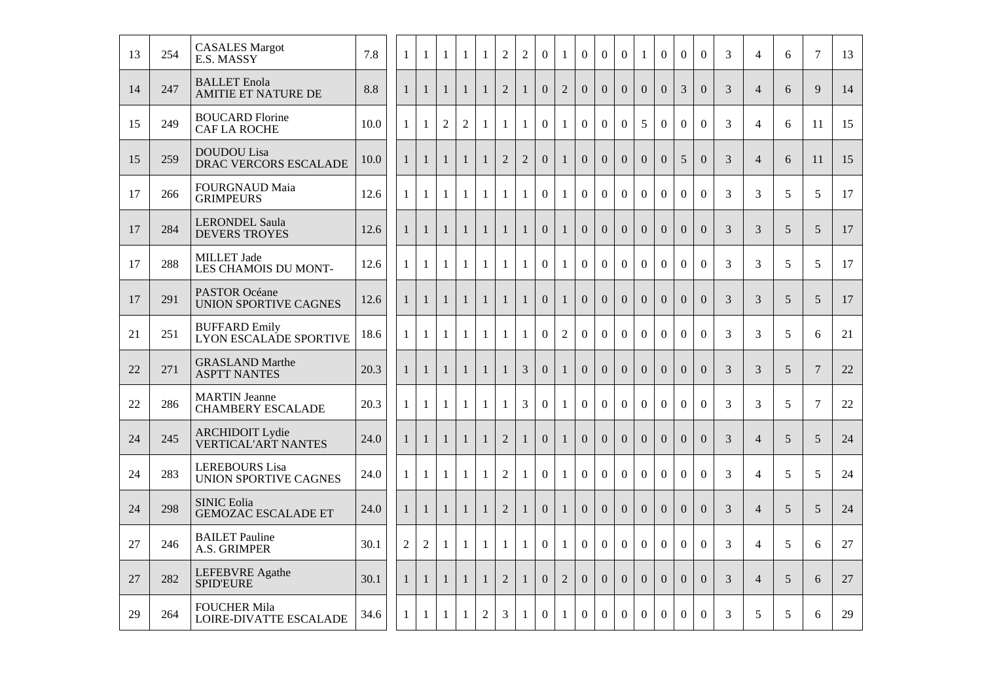| 13 | 254 | <b>CASALES Margot</b><br>E.S. MASSY                   | 7.8  | 1              | $\mathbf{1}$   | 1              | 1              | $\mathbf{1}$   | $\mathbf{2}$   | $\overline{2}$ | $\boldsymbol{0}$ | 1              | $\overline{0}$   | $\overline{0}$   | $\boldsymbol{0}$ | $\mathbf{1}$     | $\boldsymbol{0}$ | $\mathbf{0}$     | $\boldsymbol{0}$ | 3              | $\overline{4}$ | 6              | 7              | 13 |
|----|-----|-------------------------------------------------------|------|----------------|----------------|----------------|----------------|----------------|----------------|----------------|------------------|----------------|------------------|------------------|------------------|------------------|------------------|------------------|------------------|----------------|----------------|----------------|----------------|----|
| 14 | 247 | <b>BALLET</b> Enola<br><b>AMITIE ET NATURE DE</b>     | 8.8  | $\mathbf{1}$   | $\mathbf{1}$   | $\mathbf{1}$   | $\mathbf{1}$   | $\mathbf{1}$   | $\overline{2}$ | $\mathbf{1}$   | $\overline{0}$   | $\overline{2}$ | $\overline{0}$   | $\overline{0}$   | $\overline{0}$   | $\Omega$         | $\overline{0}$   | 3                | $\Omega$         | 3              | $\overline{4}$ | 6              | 9              | 14 |
| 15 | 249 | <b>BOUCARD Florine</b><br><b>CAF LA ROCHE</b>         | 10.0 | $\mathbf{1}$   | $\mathbf{1}$   | $\overline{2}$ | $\overline{2}$ | $\mathbf{1}$   | $\mathbf{1}$   | $\mathbf{1}$   | $\overline{0}$   | $\mathbf{1}$   | $\overline{0}$   | $\overline{0}$   | $\overline{0}$   | 5                | $\overline{0}$   | $\mathbf{0}$     | $\overline{0}$   | 3              | $\overline{4}$ | 6              | 11             | 15 |
| 15 | 259 | <b>DOUDOU</b> Lisa<br>DRAC VERCORS ESCALADE           | 10.0 | $\mathbf{1}$   | $\mathbf{1}$   | $\mathbf{1}$   | $\mathbf{1}$   | $\mathbf{1}$   | $\overline{2}$ | $\overline{2}$ | $\overline{0}$   | $\mathbf{1}$   | $\overline{0}$   | $\overline{0}$   | $\Omega$         | $\Omega$         | $\Omega$         | 5                | $\Omega$         | 3              | $\overline{4}$ | 6              | 11             | 15 |
| 17 | 266 | <b>FOURGNAUD Maia</b><br><b>GRIMPEURS</b>             | 12.6 | $\mathbf{1}$   | 1              | 1              | 1              | $\mathbf{1}$   | $\mathbf{1}$   | $\mathbf{1}$   | $\overline{0}$   | $\mathbf{1}$   | $\overline{0}$   | $\overline{0}$   | $\overline{0}$   | $\overline{0}$   | $\overline{0}$   | $\overline{0}$   | $\mathbf{0}$     | 3              | 3              | 5              | 5              | 17 |
| 17 | 284 | <b>LERONDEL Saula</b><br><b>DEVERS TROYES</b>         | 12.6 | $\mathbf{1}$   | $\mathbf{1}$   | $\mathbf{1}$   | $\mathbf{1}$   | $\mathbf{1}$   | $\mathbf{1}$   | $\mathbf{1}$   | $\boldsymbol{0}$ | $\mathbf{1}$   | $\boldsymbol{0}$ | $\boldsymbol{0}$ | $\boldsymbol{0}$ | $\overline{0}$   | $\overline{0}$   | $\mathbf{0}$     | $\boldsymbol{0}$ | 3              | 3              | 5              | 5              | 17 |
| 17 | 288 | <b>MILLET</b> Jade<br>LES CHAMOIS DU MONT-            | 12.6 | $\mathbf{1}$   | $\mathbf{1}$   | $\mathbf{1}$   | $\mathbf{1}$   | $\mathbf{1}$   | $\mathbf{1}$   | $\mathbf{1}$   | $\overline{0}$   | $\mathbf{1}$   | $\overline{0}$   | $\overline{0}$   | $\overline{0}$   | $\overline{0}$   | $\overline{0}$   | $\mathbf{0}$     | $\overline{0}$   | 3              | 3              | 5              | 5              | 17 |
| 17 | 291 | <b>PASTOR Océane</b><br><b>UNION SPORTIVE CAGNES</b>  | 12.6 | $\mathbf{1}$   | 1              | $\mathbf{1}$   | $\mathbf{1}$   | $\mathbf{1}$   | $\mathbf{1}$   | $\mathbf{1}$   | $\overline{0}$   | $\mathbf{1}$   | $\overline{0}$   | $\overline{0}$   | $\overline{0}$   | $\overline{0}$   | $\overline{0}$   | $\overline{0}$   | $\overline{0}$   | $\overline{3}$ | 3              | $\mathfrak{S}$ | 5              | 17 |
| 21 | 251 | <b>BUFFARD Emily</b><br>LYON ESCALADE SPORTIVE        | 18.6 | 1              | $\mathbf{1}$   | $\mathbf{1}$   | $\mathbf{1}$   | $\mathbf{1}$   | $\mathbf{1}$   | $\mathbf{1}$   | $\overline{0}$   | $\overline{2}$ | $\overline{0}$   | $\overline{0}$   | $\overline{0}$   | $\overline{0}$   | $\overline{0}$   | $\boldsymbol{0}$ | $\overline{0}$   | 3              | 3              | 5              | 6              | 21 |
| 22 | 271 | <b>GRASLAND Marthe</b><br><b>ASPTT NANTES</b>         | 20.3 | $\mathbf{1}$   | $\mathbf{1}$   | $\mathbf{1}$   | $\mathbf{1}$   | $\mathbf{1}$   | $\mathbf{1}$   | $\overline{3}$ | $\overline{0}$   | $\mathbf{1}$   | $\overline{0}$   | $\overline{0}$   | $\overline{0}$   | $\overline{0}$   | $\overline{0}$   | $\overline{0}$   | $\overline{0}$   | 3              | 3              | $\overline{5}$ | $\overline{7}$ | 22 |
| 22 | 286 | <b>MARTIN</b> Jeanne<br><b>CHAMBERY ESCALADE</b>      | 20.3 | 1              | $\mathbf{1}$   | $\mathbf{1}$   | $\mathbf{1}$   | $\mathbf{1}$   | $\mathbf{1}$   | 3              | $\overline{0}$   | $\mathbf{1}$   | $\overline{0}$   | $\overline{0}$   | $\boldsymbol{0}$ | $\boldsymbol{0}$ | $\overline{0}$   | $\mathbf{0}$     | $\boldsymbol{0}$ | 3              | 3              | 5              | $\overline{7}$ | 22 |
| 24 | 245 | <b>ARCHIDOIT Lydie</b><br><b>VERTICAL'ART NANTES</b>  | 24.0 | $\mathbf{1}$   | $\mathbf{1}$   | $\mathbf{1}$   | $\mathbf{1}$   | $\mathbf{1}$   | $\overline{2}$ | $\mathbf{1}$   | $\overline{0}$   | $\mathbf{1}$   | $\overline{0}$   | $\Omega$         | $\Omega$         | $\Omega$         | $\overline{0}$   | $\Omega$         | $\overline{0}$   | 3              | $\overline{4}$ | 5              | 5              | 24 |
| 24 | 283 | <b>LEREBOURS</b> Lisa<br><b>UNION SPORTIVE CAGNES</b> | 24.0 | $\mathbf{1}$   | $\mathbf{1}$   | $\mathbf{1}$   | $\mathbf{1}$   | $\mathbf{1}$   | $\overline{2}$ | $\mathbf{1}$   | $\overline{0}$   | $\mathbf{1}$   | $\overline{0}$   | $\overline{0}$   | $\overline{0}$   | $\overline{0}$   | $\overline{0}$   | $\mathbf{0}$     | $\overline{0}$   | 3              | $\overline{4}$ | 5              | 5              | 24 |
| 24 | 298 | <b>SINIC Eolia</b><br><b>GEMOZAC ESCALADE ET</b>      | 24.0 | $\mathbf{1}$   | $\mathbf{1}$   | $\mathbf{1}$   | $\mathbf{1}$   | $\mathbf{1}$   | $\overline{2}$ | $\mathbf{1}$   | $\overline{0}$   | $\mathbf{1}$   | $\overline{0}$   | $\overline{0}$   | $\overline{0}$   | $\overline{0}$   | $\overline{0}$   | $\overline{0}$   | $\overline{0}$   | 3              | $\overline{4}$ | 5              | 5              | 24 |
| 27 | 246 | <b>BAILET</b> Pauline<br>A.S. GRIMPER                 | 30.1 | $\overline{2}$ | $\overline{2}$ | $\mathbf{1}$   | $\mathbf{1}$   | $\mathbf{1}$   | $\mathbf{1}$   | $\mathbf{1}$   | $\overline{0}$   | $\mathbf{1}$   | $\overline{0}$   | $\overline{0}$   | $\mathbf{0}$     | $\overline{0}$   | $\overline{0}$   | $\overline{0}$   | $\overline{0}$   | 3              | $\overline{4}$ | 5              | 6              | 27 |
| 27 | 282 | LEFEBVRE Agathe<br><b>SPID'EURE</b>                   | 30.1 | $\mathbf{1}$   | $\mathbf{1}$   | $\mathbf{1}$   | $\mathbf{1}$   | $\mathbf{1}$   | $\sqrt{2}$     | $\mathbf{1}$   | $\overline{0}$   | $\sqrt{2}$     | $\overline{0}$   | $\overline{0}$   | $\boldsymbol{0}$ | $\Omega$         | $\Omega$         | $\Omega$         | $\Omega$         | 3              | $\overline{4}$ | 5              | 6              | 27 |
| 29 | 264 | <b>FOUCHER Mila</b><br>LOIRE-DIVATTE ESCALADE         | 34.6 | $\mathbf{1}$   | $\mathbf{1}$   | $\mathbf{1}$   | $\mathbf{1}$   | $\overline{2}$ | $\overline{3}$ | $\mathbf{1}$   | $\Omega$         | $\mathbf{1}$   | $\Omega$         | $\Omega$         | $\Omega$         | $\Omega$         | $\Omega$         | $\Omega$         | $\Omega$         | 3              | 5              | 5              | 6              | 29 |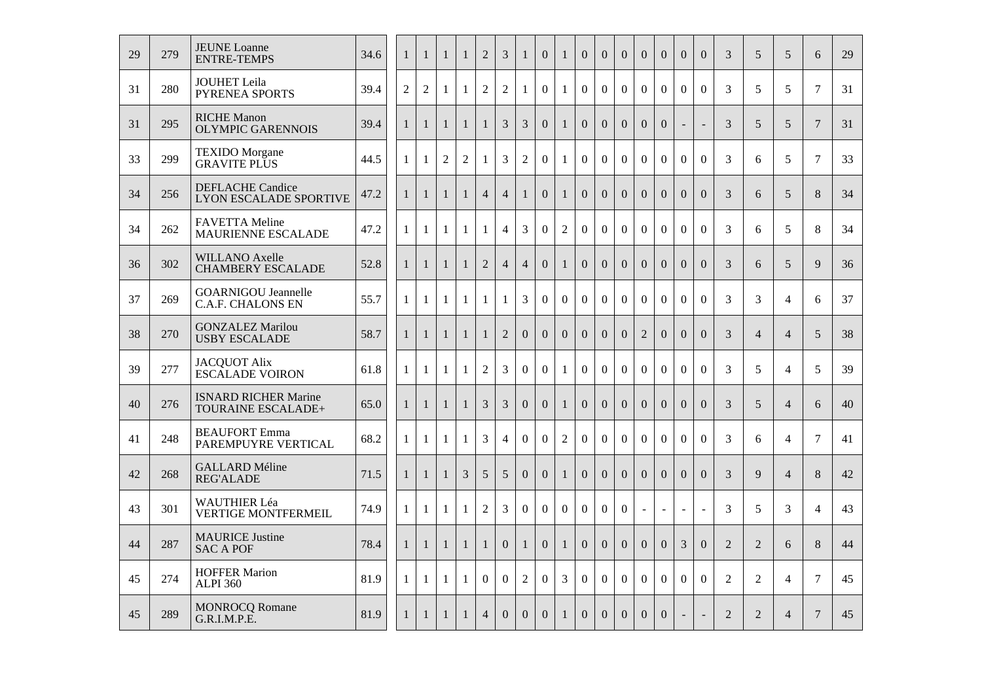| 29 | 279 | <b>JEUNE Loanne</b><br><b>ENTRE-TEMPS</b>                | 34.6 | $\mathbf{1}$   | $\mathbf{1}$   | $\mathbf{1}$   | $\mathbf{1}$   | $\overline{2}$ | 3              | $\mathbf{1}$     | $\mathbf{0}$     | $\mathbf{1}$   | $\theta$         | $\overline{0}$ | $\overline{0}$ | $\overline{0}$           | $\overline{0}$   | $\overline{0}$ | $\theta$                 | 3              | 5              | 5              | 6              | 29 |
|----|-----|----------------------------------------------------------|------|----------------|----------------|----------------|----------------|----------------|----------------|------------------|------------------|----------------|------------------|----------------|----------------|--------------------------|------------------|----------------|--------------------------|----------------|----------------|----------------|----------------|----|
| 31 | 280 | <b>JOUHET Leila</b><br><b>PYRENEA SPORTS</b>             | 39.4 | $\overline{2}$ | $\overline{2}$ | $\mathbf{1}$   | $\mathbf{1}$   | $\overline{2}$ | $\overline{2}$ | $\mathbf{1}$     | $\overline{0}$   | $\mathbf{1}$   | $\overline{0}$   | $\overline{0}$ | $\overline{0}$ | $\overline{0}$           | $\boldsymbol{0}$ | $\mathbf{0}$   | $\overline{0}$           | 3              | 5              | 5              | $\tau$         | 31 |
| 31 | 295 | <b>RICHE Manon</b><br><b>OLYMPIC GARENNOIS</b>           | 39.4 | $\mathbf{1}$   | $\mathbf{1}$   | 1              | 1              | $\mathbf{1}$   | 3              | 3                | $\overline{0}$   | 1              | $\overline{0}$   | $\overline{0}$ | $\overline{0}$ | $\overline{0}$           | $\overline{0}$   | $\blacksquare$ | $\equiv$                 | 3              | 5              | 5              | $\overline{7}$ | 31 |
| 33 | 299 | <b>TEXIDO</b> Morgane<br><b>GRAVITE PLUS</b>             | 44.5 | $\mathbf{1}$   | 1              | $\overline{2}$ | $\overline{2}$ | $\mathbf{1}$   | 3              | $\overline{2}$   | $\overline{0}$   | 1              | $\overline{0}$   | $\overline{0}$ | $\overline{0}$ | $\overline{0}$           | $\overline{0}$   | $\overline{0}$ | $\overline{0}$           | 3              | 6              | 5              | $\overline{7}$ | 33 |
| 34 | 256 | <b>DEFLACHE Candice</b><br><b>LYON ESCALADE SPORTIVE</b> | 47.2 | $\mathbf{1}$   | 1              | $\mathbf{1}$   | $\mathbf{1}$   | $\overline{4}$ | $\overline{4}$ | $\mathbf{1}$     | $\overline{0}$   | $\mathbf{1}$   | $\overline{0}$   | $\overline{0}$ | $\overline{0}$ | $\overline{0}$           | $\Omega$         | $\Omega$       | $\overline{0}$           | 3              | 6              | 5              | 8              | 34 |
| 34 | 262 | <b>FAVETTA Meline</b><br>MAURIENNE ESCALADE              | 47.2 | 1              | 1              | -1             | 1              | $\mathbf{1}$   | $\overline{4}$ | $\overline{3}$   | $\overline{0}$   | $\overline{2}$ | $\overline{0}$   | $\overline{0}$ | $\overline{0}$ | $\overline{0}$           | $\boldsymbol{0}$ | $\overline{0}$ | $\overline{0}$           | 3              | 6              | 5              | 8              | 34 |
| 36 | 302 | <b>WILLANO Axelle</b><br><b>CHAMBERY ESCALADE</b>        | 52.8 | $\mathbf{1}$   | $\mathbf{1}$   | $\mathbf{1}$   | $\mathbf{1}$   | $\overline{2}$ | $\overline{4}$ | $\overline{4}$   | $\overline{0}$   | $\mathbf{1}$   | $\Omega$         | $\Omega$       | $\Omega$       | $\Omega$                 | $\Omega$         | $\Omega$       | $\Omega$                 | 3              | 6              | $\overline{5}$ | 9              | 36 |
| 37 | 269 | <b>GOARNIGOU Jeannelle</b><br><b>C.A.F. CHALONS EN</b>   | 55.7 | 1              | 1              | -1             | 1              | 1              | $\mathbf{1}$   | $\overline{3}$   | $\overline{0}$   | $\overline{0}$ | $\overline{0}$   | $\overline{0}$ | $\overline{0}$ | $\overline{0}$           | $\boldsymbol{0}$ | $\mathbf{0}$   | $\overline{0}$           | $\overline{3}$ | $\overline{3}$ | $\overline{4}$ | 6              | 37 |
| 38 | 270 | <b>GONZALEZ Marilou</b><br><b>USBY ESCALADE</b>          | 58.7 | $\mathbf{1}$   | $\mathbf{1}$   | $\mathbf{1}$   | $\mathbf{1}$   | $\mathbf{1}$   | $\overline{2}$ | $\overline{0}$   | $\overline{0}$   | $\overline{0}$ | $\Omega$         | $\overline{0}$ | $\Omega$       | $\overline{2}$           | $\Omega$         | $\Omega$       | $\Omega$                 | 3              | $\overline{4}$ | $\overline{4}$ | 5              | 38 |
| 39 | 277 | <b>JACQUOT Alix</b><br><b>ESCALADE VOIRON</b>            | 61.8 | $\mathbf{1}$   | 1              | -1             | -1             | 2              | 3              | $\overline{0}$   | $\overline{0}$   | $\mathbf{1}$   | $\overline{0}$   | $\overline{0}$ | $\overline{0}$ | $\overline{0}$           | $\mathbf{0}$     | $\mathbf{0}$   | $\overline{0}$           | 3              | 5              | $\overline{4}$ | 5              | 39 |
| 40 | 276 | <b>ISNARD RICHER Marine</b><br>TOURAINE ESCALADE+        | 65.0 | $\mathbf{1}$   | $\mathbf{1}$   | $\mathbf{1}$   | 1              | $\mathfrak{Z}$ | 3              | $\boldsymbol{0}$ | $\boldsymbol{0}$ | $\mathbf{1}$   | $\boldsymbol{0}$ | $\mathbf{0}$   | $\overline{0}$ | $\overline{0}$           | $\overline{0}$   | $\overline{0}$ | $\boldsymbol{0}$         | 3              | 5              | $\overline{4}$ | 6              | 40 |
| 41 | 248 | <b>BEAUFORT</b> Emma<br>PAREMPUYRE VERTICAL              | 68.2 | $\mathbf{1}$   | $\mathbf{1}$   | $\mathbf{1}$   | $\mathbf{1}$   | $\overline{3}$ | $\overline{4}$ | $\overline{0}$   | $\overline{0}$   | $\overline{2}$ | $\Omega$         | $\Omega$       | $\Omega$       | $\Omega$                 | $\Omega$         | $\Omega$       | $\Omega$                 | 3              | 6              | $\overline{4}$ | $\tau$         | 41 |
| 42 | 268 | <b>GALLARD Méline</b><br><b>REG'ALADE</b>                | 71.5 | $\mathbf{1}$   | $\mathbf{1}$   | $\mathbf{1}$   | $\overline{3}$ | 5              | 5              | $\overline{0}$   | $\overline{0}$   | $\mathbf{1}$   | $\overline{0}$   | $\Omega$       | $\Omega$       | $\Omega$                 | $\Omega$         | $\overline{0}$ | $\overline{0}$           | 3              | $\mathbf{Q}$   | $\overline{4}$ | 8              | 42 |
| 43 | 301 | <b>WAUTHIER Léa</b><br><b>VERTIGE MONTFERMEIL</b>        | 74.9 | $\mathbf{1}$   | $\mathbf{1}$   | $\mathbf{1}$   | $\mathbf{1}$   | $\overline{2}$ | 3              | $\overline{0}$   | $\overline{0}$   | $\overline{0}$ | $\overline{0}$   | $\overline{0}$ | $\overline{0}$ | $\overline{\phantom{a}}$ | $\sim$           | $\sim$         | $\overline{\phantom{a}}$ | 3              | 5              | 3              | $\overline{4}$ | 43 |
| 44 | 287 | <b>MAURICE Justine</b><br><b>SAC A POF</b>               | 78.4 | $\mathbf{1}$   | 1              | $\mathbf{1}$   | $\mathbf{1}$   | $\mathbf{1}$   | $\overline{0}$ | $\mathbf{1}$     | $\overline{0}$   | $\mathbf{1}$   | $\Omega$         | $\Omega$       | $\Omega$       | $\Omega$                 | $\Omega$         | 3              | $\overline{0}$           | $\overline{2}$ | 2              | 6              | 8              | 44 |
| 45 | 274 | <b>HOFFER Marion</b><br><b>ALPI 360</b>                  | 81.9 | 1              | 1              | 1              | 1              | $\overline{0}$ | $\overline{0}$ | $\overline{2}$   | $\overline{0}$   | 3              | $\overline{0}$   | $\overline{0}$ | $\overline{0}$ | $\overline{0}$           | $\boldsymbol{0}$ | $\overline{0}$ | $\mathbf{0}$             | $\overline{2}$ | $\overline{2}$ | $\overline{4}$ | $\tau$         | 45 |
| 45 | 289 | <b>MONROCQ Romane</b><br>G.R.I.M.P.E.                    | 81.9 | $\mathbf{1}$   | $\mathbf{1}$   | $\mathbf{1}$   | $\mathbf{1}$   | $\overline{4}$ | $\Omega$       | $\overline{0}$   | $\Omega$         | $\mathbf{1}$   | $\Omega$         | $\Omega$       | $\Omega$       | $\Omega$                 | $\Omega$         |                |                          | 2              | 2              | $\overline{4}$ | $\tau$         | 45 |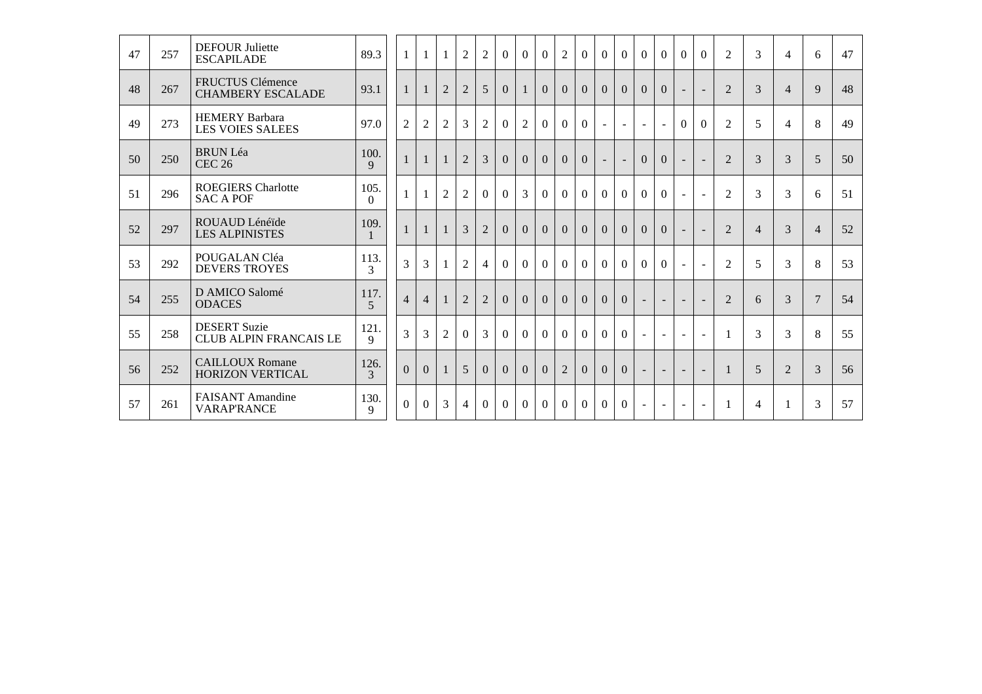| 47 | 257 | <b>DEFOUR Juliette</b><br><b>ESCAPILADE</b>         | 89.3                   |                |                |                  | 1              | $\overline{2}$ | $\overline{2}$ | $\Omega$       | $\Omega$       | $\Omega$       | $\overline{2}$ | $\Omega$       | $\Omega$       | $\Omega$       | $\Omega$                 | $\Omega$ | $\Omega$                 | $\Omega$                 | $\overline{2}$ | 3              | $\overline{4}$ | 6              | 47 |
|----|-----|-----------------------------------------------------|------------------------|----------------|----------------|------------------|----------------|----------------|----------------|----------------|----------------|----------------|----------------|----------------|----------------|----------------|--------------------------|----------|--------------------------|--------------------------|----------------|----------------|----------------|----------------|----|
| 48 | 267 | <b>FRUCTUS Clémence</b><br><b>CHAMBERY ESCALADE</b> | 93.1                   |                | $\mathbf{1}$   | 1                | $\overline{2}$ | $\overline{2}$ | 5              | $\overline{0}$ | 1              | $\Omega$       | $\Omega$       | $\Omega$       | $\Omega$       | $\Omega$       | $\Omega$                 | $\Omega$ |                          |                          | $\mathfrak{D}$ | 3              | $\overline{4}$ | 9              | 48 |
| 49 | 273 | <b>HEMERY Barbara</b><br><b>LES VOIES SALEES</b>    | 97.0                   | $\overline{2}$ |                | $\boldsymbol{2}$ | $\mathfrak{2}$ | 3              | $\overline{2}$ | $\Omega$       | $\overline{2}$ | $\theta$       | $\Omega$       | $\Omega$       | $\mathbf{r}$   | $\sim$         | $\omega$                 | $\sim$   | $\theta$                 | $\theta$                 | 2              | 5              | $\overline{4}$ | 8              | 49 |
| 50 | 250 | <b>BRUN Léa</b><br><b>CEC 26</b>                    | 100.<br>$\mathbf Q$    | 1              |                | $\mathbf{1}$     | $\mathbf{1}$   | $\overline{2}$ | 3              | $\overline{0}$ | $\overline{0}$ | $\overline{0}$ | $\overline{0}$ | $\overline{0}$ | $\sim$         | $\equiv$       | $\Omega$                 | $\Omega$ | $\sim$                   | $\sim$                   | 2              | 3              | 3              | 5              | 50 |
| 51 | 296 | <b>ROEGIERS Charlotte</b><br><b>SAC A POF</b>       | 105.<br>$\Omega$       |                |                | $\mathbf{1}$     | $\overline{2}$ | $\overline{2}$ | $\Omega$       | $\Omega$       | 3              | $\Omega$       | $\Omega$       | $\Omega$       | $\Omega$       | $\Omega$       | $\Omega$                 | $\Omega$ | $\omega$                 | $\sim$                   | $\overline{2}$ | 3              | 3              | 6              | 51 |
| 52 | 297 | ROUAUD Lénéïde<br><b>LES ALPINISTES</b>             | 109.                   |                | $\mathbf{1}$   | $\mathbf{1}$     | $\mathbf{1}$   | 3              | $\overline{2}$ | $\Omega$       | $\overline{0}$ | $\overline{0}$ | $\Omega$       | $\overline{0}$ | $\Omega$       | $\Omega$       | $\Omega$                 | $\Omega$ | $\overline{\phantom{a}}$ |                          | 2              | $\overline{4}$ | 3              | $\overline{4}$ | 52 |
| 53 | 292 | POUGALAN Cléa<br><b>DEVERS TROYES</b>               | 113.<br>3              |                | $\mathfrak{Z}$ | 3                | $\mathbf{1}$   | $\overline{2}$ | $\overline{4}$ | $\Omega$       | $\Omega$       | $\Omega$       | $\Omega$       | $\Omega$       | $\Omega$       | $\Omega$       | $\Omega$                 | $\Omega$ | $\sim$                   | $\sim$                   | 2              | 5              | 3              | 8              | 53 |
| 54 | 255 | D AMICO Salomé<br><b>ODACES</b>                     | 117.<br>$\overline{5}$ |                | $\overline{4}$ | $\overline{4}$   | $\mathbf{1}$   | $\overline{2}$ | $\overline{2}$ | $\Omega$       | $\overline{0}$ | $\overline{0}$ | $\Omega$       | $\Omega$       | $\Omega$       | $\Omega$       | $\sim$                   | $\sim$   | $\overline{\phantom{a}}$ |                          | $\overline{2}$ | 6              | 3              | $\overline{7}$ | 54 |
| 55 | 258 | <b>DESERT Suzie</b><br>CLUB ALPIN FRANCAIS LE       | 121<br>9               |                | $\overline{3}$ | 3                | 2              | $\Omega$       | 3              | $\Omega$       | $\Omega$       | $\Omega$       | $\Omega$       | $\Omega$       | $\Omega$       | $\Omega$       | $\mathbf{r}$             | $\sim$   | $\sim$                   | $\sim$                   |                | 3              | 3              | 8              | 55 |
| 56 | 252 | <b>CAILLOUX Romane</b><br><b>HORIZON VERTICAL</b>   | 126.<br>3              |                | $\overline{0}$ | $\Omega$         | $\mathbf{1}$   | 5              | $\Omega$       | $\Omega$       | $\Omega$       | $\Omega$       | $\overline{2}$ | $\Omega$       | $\Omega$       | $\theta$       |                          | $\sim$   | $\overline{\phantom{a}}$ | $\overline{\phantom{a}}$ | 1              | 5              | 2              | 3              | 56 |
| 57 | 261 | <b>FAISANT</b> Amandine<br><b>VARAP'RANCE</b>       | 130.<br>9              |                | $\Omega$       | $\theta$         | $\mathfrak{Z}$ | $\overline{4}$ | $\theta$       | $\Omega$       | $\theta$       | $\Omega$       | $\theta$       | $\Omega$       | $\overline{0}$ | $\overline{0}$ | $\overline{\phantom{a}}$ |          |                          |                          |                | $\overline{4}$ | 1              | 3              | 57 |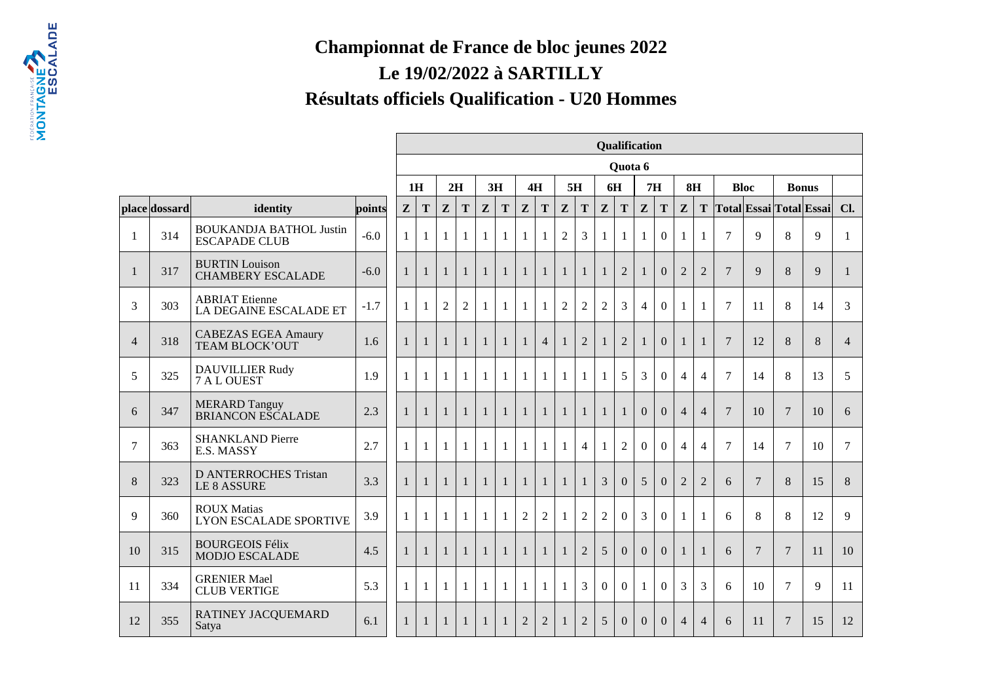## **Championnat de France de bloc jeunes 2022Le 19/02/2022 à SARTILLYRésultats officiels Qualification - U20 Hommes**

|                |               |                                                        |        |                |              |                |                |              |              |                |                |                |                |                | Qualification  |                |                |                |                |                 |                |                 |                         |                |
|----------------|---------------|--------------------------------------------------------|--------|----------------|--------------|----------------|----------------|--------------|--------------|----------------|----------------|----------------|----------------|----------------|----------------|----------------|----------------|----------------|----------------|-----------------|----------------|-----------------|-------------------------|----------------|
|                |               |                                                        |        |                |              |                |                |              |              |                |                |                |                |                | Quota 6        |                |                |                |                |                 |                |                 |                         |                |
|                |               |                                                        |        |                | 1H           |                | 2H             |              | 3H           |                | 4H             |                | 5H             |                | 6H             | 7H             |                |                | 8H             |                 | <b>Bloc</b>    | <b>Bonus</b>    |                         |                |
|                | place dossard | identity                                               | points | Z              | T            | $\mathbf{Z}$   | T              | $\mathbf{Z}$ | T            | Z              | T              | $\mathbf{Z}$   | T              | $\mathbf{Z}$   | T              | Z              | T              | $\mathbf{Z}$   | T              |                 |                |                 | Total Essai Total Essai | Cl.            |
| 1              | 314           | <b>BOUKANDJA BATHOL Justin</b><br><b>ESCAPADE CLUB</b> | $-6.0$ | $\mathbf{1}$   |              |                |                | 1            | 1            | 1              | $\mathbf{1}$   | $\overline{2}$ | 3              | 1              | 1              | $\mathbf{1}$   | $\overline{0}$ | 1              | $\mathbf{1}$   | $\overline{7}$  | 9              | 8               | 9                       | 1              |
|                | 317           | <b>BURTIN Louison</b><br><b>CHAMBERY ESCALADE</b>      | $-6.0$ | 1              | $\mathbf{1}$ | $\mathbf{1}$   | $\mathbf{1}$   | 1            | $\mathbf{1}$ | $\mathbf{1}$   | $\mathbf{1}$   | $\mathbf{1}$   | $\mathbf{1}$   | $\mathbf{1}$   | $\overline{2}$ |                | $\Omega$       | $\overline{2}$ | $\overline{2}$ | $\overline{7}$  | 9              | 8               | 9                       | $\mathbf{1}$   |
| 3              | 303           | <b>ABRIAT</b> Etienne<br>LA DEGAINE ESCALADE ET        | $-1.7$ | 1              | $\mathbf{1}$ | $\overline{2}$ | $\overline{2}$ | $\mathbf{1}$ | $\mathbf{1}$ | $\mathbf{1}$   | 1              | $\overline{2}$ | $\overline{2}$ | $\overline{2}$ | 3              | $\overline{4}$ | $\overline{0}$ | $\mathbf{1}$   | $\mathbf{1}$   | $\tau$          | 11             | 8               | 14                      | 3              |
| $\overline{4}$ | 318           | <b>CABEZAS EGEA Amaury</b><br><b>TEAM BLOCK'OUT</b>    | 1.6    | $\mathbf{1}$   | $\mathbf{1}$ | $\overline{1}$ | $\overline{1}$ | $\mathbf{1}$ | $\mathbf{1}$ | $\mathbf{1}$   | $\overline{4}$ | $\mathbf{1}$   | $\overline{2}$ | $\mathbf{1}$   | $\overline{2}$ | $\mathbf{1}$   | $\Omega$       | $\mathbf{1}$   | $\mathbf{1}$   | $7\phantom{.0}$ | 12             | 8               | 8                       | $\overline{4}$ |
| 5              | 325           | <b>DAUVILLIER Rudy</b><br>7 A L OUEST                  | 1.9    | $\mathbf{1}$   | $\mathbf{1}$ | $\mathbf{1}$   | $\mathbf{1}$   | $\mathbf{1}$ | $\mathbf{1}$ | $\mathbf{1}$   | $\mathbf{1}$   | $\mathbf{1}$   | $\mathbf{1}$   | $\mathbf{1}$   | 5              | $\overline{3}$ | $\mathbf{0}$   | $\overline{4}$ | $\overline{4}$ | $\overline{7}$  | 14             | 8               | 13                      | 5              |
| 6              | 347           | <b>MERARD Tanguy</b><br><b>BRIANCON ESCALADE</b>       | 2.3    | $\overline{1}$ | $\mathbf{1}$ | $\mathbf{1}$   | $\mathbf{1}$   | $\mathbf{1}$ | $\mathbf{1}$ | $\mathbf{1}$   | $\mathbf{1}$   | $\mathbf{1}$   | $\mathbf{1}$   | $\mathbf{1}$   | $\mathbf{1}$   | $\Omega$       | $\Omega$       | $\overline{4}$ | $\overline{4}$ | $\overline{7}$  | 10             | $\overline{7}$  | 10                      | 6              |
| $\overline{7}$ | 363           | <b>SHANKLAND Pierre</b><br>E.S. MASSY                  | 2.7    | -1             | $\mathbf{1}$ | $\mathbf{1}$   | $\mathbf{1}$   | 1            | $\mathbf{1}$ | $\mathbf{1}$   | $\mathbf{1}$   | 1              | $\overline{4}$ | 1              | $\overline{2}$ | $\Omega$       | $\Omega$       | $\overline{4}$ | $\overline{4}$ | $\overline{7}$  | 14             | $\tau$          | 10                      | 7              |
| 8              | 323           | <b>D ANTERROCHES Tristan</b><br><b>LE 8 ASSURE</b>     | 3.3    | $\mathbf{1}$   | $\mathbf{1}$ | $\mathbf{1}$   | $\overline{1}$ | $\mathbf{1}$ | $\mathbf{1}$ | $\mathbf{1}$   | $\mathbf{1}$   | $\mathbf{1}$   | $\mathbf{1}$   | $\overline{3}$ | $\Omega$       | 5              | $\Omega$       | $\overline{2}$ | $\overline{2}$ | 6               | $\overline{7}$ | 8               | 15                      | 8              |
| 9              | 360           | <b>ROUX Matias</b><br><b>LYON ESCALADE SPORTIVE</b>    | 3.9    | $\mathbf{1}$   | $\mathbf{1}$ | $\mathbf{1}$   | $\mathbf{1}$   | $\mathbf{1}$ | 1            | $\overline{2}$ | $\overline{2}$ | $\mathbf{1}$   | $\overline{2}$ | $\overline{2}$ | $\overline{0}$ | $\overline{3}$ | $\overline{0}$ | $\mathbf{1}$   | $\mathbf{1}$   | 6               | 8              | 8               | 12                      | 9              |
| 10             | 315           | <b>BOURGEOIS Félix</b><br><b>MODJO ESCALADE</b>        | 4.5    | $\mathbf{1}$   |              | $\mathbf{1}$   | $\mathbf{1}$   | $\mathbf{1}$ | $\mathbf{1}$ | $\mathbf{1}$   | $\mathbf{1}$   | $\mathbf{1}$   | $\overline{2}$ | 5              | $\overline{0}$ | $\overline{0}$ | $\Omega$       | $\mathbf{1}$   | $\mathbf{1}$   | 6               | $\overline{7}$ | $7\phantom{.0}$ | 11                      | 10             |
| 11             | 334           | <b>GRENIER Mael</b><br><b>CLUB VERTIGE</b>             | 5.3    | $\mathbf{1}$   | $\mathbf{1}$ | $\mathbf{1}$   | 1              | 1            | $\mathbf{1}$ | 1              | $\mathbf{1}$   | $\mathbf{1}$   | $\overline{3}$ | $\Omega$       | $\Omega$       | 1              | $\Omega$       | 3              | 3              | 6               | 10             | $\tau$          | 9                       | 11             |
| 12             | 355           | RATINEY JACQUEMARD<br>Satya                            | 6.1    | $\mathbf{1}$   | $\mathbf{1}$ | $\mathbf{1}$   | $\mathbf{1}$   | $\mathbf{1}$ | $\mathbf{1}$ | $\overline{2}$ | $\overline{2}$ | 1              | $\overline{2}$ | 5              | $\overline{0}$ | $\mathbf{0}$   | $\Omega$       | $\overline{4}$ | $\overline{4}$ | 6               | 11             | $\overline{7}$  | 15                      | 12             |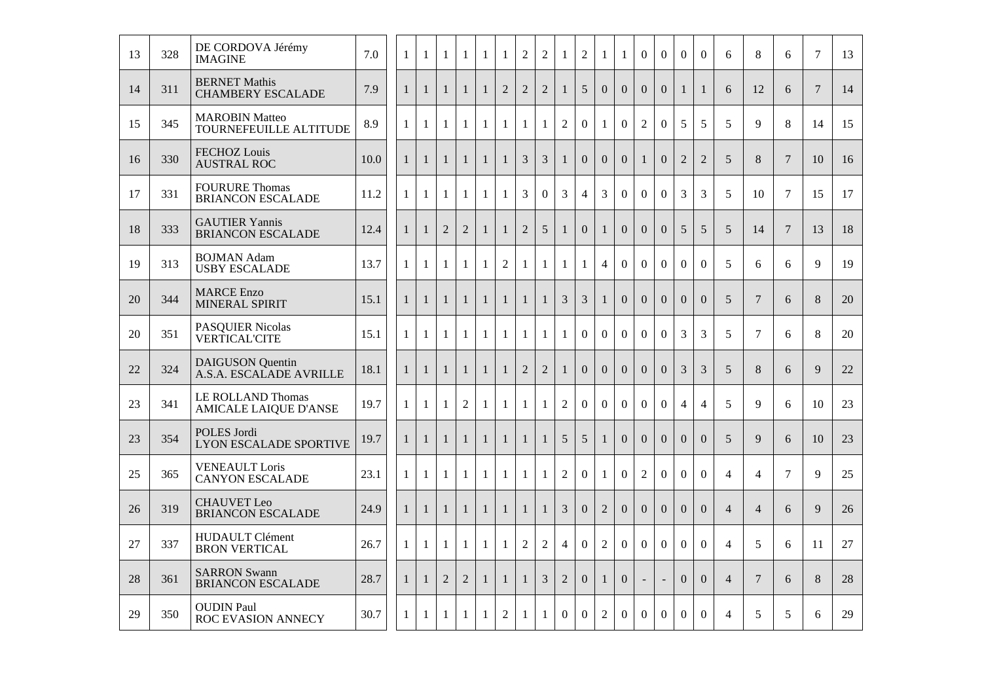| 13 | 328 | DE CORDOVA Jérémy<br><b>IMAGINE</b>                | 7.0  | 1            | $\mathbf{1}$ | 1              | 1              | $\mathbf{1}$ | 1              | $\overline{2}$ | $\mathbf{2}$   | 1              | $\overline{2}$   | $\mathbf{1}$   | $\mathbf{1}$     | $\boldsymbol{0}$ | $\overline{0}$ | $\mathbf{0}$   | $\theta$         | 6              | 8               | 6              | 7      | 13 |
|----|-----|----------------------------------------------------|------|--------------|--------------|----------------|----------------|--------------|----------------|----------------|----------------|----------------|------------------|----------------|------------------|------------------|----------------|----------------|------------------|----------------|-----------------|----------------|--------|----|
| 14 | 311 | <b>BERNET Mathis</b><br><b>CHAMBERY ESCALADE</b>   | 7.9  | $\mathbf{1}$ | $\mathbf{1}$ | $\mathbf{1}$   | $\mathbf{1}$   | $\mathbf{1}$ | $\overline{2}$ | $\overline{2}$ | $\overline{2}$ | $\mathbf{1}$   | 5                | $\overline{0}$ | $\overline{0}$   | $\Omega$         | $\overline{0}$ | $\mathbf{1}$   | $\mathbf{1}$     | 6              | 12              | 6              | $\tau$ | 14 |
| 15 | 345 | <b>MAROBIN Matteo</b><br>TOURNEFEUILLE ALTITUDE    | 8.9  | $\mathbf{1}$ | $\mathbf{1}$ | $\mathbf{1}$   | $\mathbf{1}$   | $\mathbf{1}$ | $\mathbf{1}$   | $\mathbf{1}$   | $\mathbf{1}$   | $\overline{2}$ | $\overline{0}$   | $\mathbf{1}$   | $\boldsymbol{0}$ | $\overline{2}$   | $\overline{0}$ | 5              | 5                | 5              | $\mathbf Q$     | 8              | 14     | 15 |
| 16 | 330 | <b>FECHOZ Louis</b><br><b>AUSTRAL ROC</b>          | 10.0 | $\mathbf{1}$ | $\mathbf{1}$ | $\mathbf{1}$   | $\mathbf{1}$   | $\mathbf{1}$ | $\mathbf{1}$   | 3              | 3              | $\mathbf{1}$   | $\overline{0}$   | $\overline{0}$ | $\Omega$         | $\mathbf{1}$     | $\Omega$       | $\overline{2}$ | $\overline{2}$   | 5              | 8               | $\tau$         | 10     | 16 |
| 17 | 331 | <b>FOURURE Thomas</b><br><b>BRIANCON ESCALADE</b>  | 11.2 | $\mathbf{1}$ | 1            | 1              | 1              | $\mathbf{1}$ | $\mathbf{1}$   | $\overline{3}$ | $\overline{0}$ | 3              | $\overline{4}$   | $\overline{3}$ | $\overline{0}$   | $\overline{0}$   | $\overline{0}$ | 3              | $\overline{3}$   | 5              | 10              | $\overline{7}$ | 15     | 17 |
| 18 | 333 | <b>GAUTIER Yannis</b><br><b>BRIANCON ESCALADE</b>  | 12.4 | 1            | $\mathbf{1}$ | $\overline{2}$ | $\overline{2}$ | $\mathbf{1}$ | $\mathbf{1}$   | $\overline{2}$ | 5              | $\mathbf{1}$   | $\boldsymbol{0}$ | $\mathbf{1}$   | $\overline{0}$   | $\overline{0}$   | $\overline{0}$ | 5              | 5                | 5              | 14              | $\overline{7}$ | 13     | 18 |
| 19 | 313 | <b>BOJMAN</b> Adam<br><b>USBY ESCALADE</b>         | 13.7 | 1            | $\mathbf{1}$ | $\mathbf{1}$   | $\mathbf{1}$   | $\mathbf{1}$ | $\overline{2}$ | $\mathbf{1}$   | $\mathbf{1}$   | $\mathbf{1}$   | $\mathbf{1}$     | $\overline{4}$ | $\boldsymbol{0}$ | $\boldsymbol{0}$ | $\overline{0}$ | $\mathbf{0}$   | $\overline{0}$   | 5              | 6               | 6              | 9      | 19 |
| 20 | 344 | <b>MARCE</b> Enzo<br>MINERAL SPIRIT                | 15.1 | $\mathbf{1}$ | $\mathbf{1}$ | $\mathbf{1}$   | $\mathbf{1}$   | $\mathbf{1}$ | $\mathbf{1}$   | $\mathbf{1}$   | $\mathbf{1}$   | 3              | 3                | $\mathbf{1}$   | $\Omega$         | $\Omega$         | $\Omega$       | $\Omega$       | $\overline{0}$   | 5              | $\overline{7}$  | 6              | 8      | 20 |
| 20 | 351 | <b>PASQUIER Nicolas</b><br><b>VERTICAL'CITE</b>    | 15.1 | $\mathbf{1}$ | $\mathbf{1}$ | 1              | $\mathbf{1}$   | $\mathbf{1}$ | $\mathbf{1}$   | $\mathbf{1}$   | 1              | $\mathbf{1}$   | $\overline{0}$   | $\Omega$       | $\overline{0}$   | $\overline{0}$   | $\overline{0}$ | 3              | 3                | 5              | $\overline{7}$  | 6              | 8      | 20 |
| 22 | 324 | <b>DAIGUSON</b> Quentin<br>A.S.A. ESCALADE AVRILLE | 18.1 | $\mathbf{1}$ | $\mathbf{1}$ | $\mathbf{1}$   | $\mathbf{1}$   | $\mathbf{1}$ | $\mathbf{1}$   | $\overline{2}$ | $\overline{2}$ | $\mathbf{1}$   | $\overline{0}$   | $\overline{0}$ | $\overline{0}$   | $\overline{0}$   | $\overline{0}$ | $\overline{3}$ | 3                | 5              | 8               | 6              | 9      | 22 |
| 23 | 341 | LE ROLLAND Thomas<br><b>AMICALE LAIQUE D'ANSE</b>  | 19.7 | 1            | $\mathbf{1}$ | $\mathbf{1}$   | $\sqrt{2}$     | $\mathbf{1}$ | $\mathbf{1}$   | $\mathbf{1}$   | $\mathbf{1}$   | $\mathbf{2}$   | $\boldsymbol{0}$ | $\overline{0}$ | $\boldsymbol{0}$ | $\mathbf{0}$     | $\overline{0}$ | $\overline{4}$ | $\overline{4}$   | 5              | 9               | 6              | 10     | 23 |
| 23 | 354 | POLES Jordi<br><b>LYON ESCALADE SPORTIVE</b>       | 19.7 | $\mathbf{1}$ | $\mathbf{1}$ | $\mathbf{1}$   | $\mathbf{1}$   | $\mathbf{1}$ | $\mathbf{1}$   | $\mathbf{1}$   | $\mathbf{1}$   | 5              | 5                | $\mathbf{1}$   | $\Omega$         | $\Omega$         | $\Omega$       | $\Omega$       | $\Omega$         | $\overline{5}$ | $\mathbf{Q}$    | 6              | 10     | 23 |
| 25 | 365 | <b>VENEAULT</b> Loris<br><b>CANYON ESCALADE</b>    | 23.1 | $\mathbf{1}$ | 1            | 1              | 1              | $\mathbf{1}$ | $\mathbf{1}$   | $\mathbf{1}$   | 1              | $\overline{2}$ | $\overline{0}$   | $\mathbf{1}$   | $\Omega$         | $\overline{2}$   | $\overline{0}$ | $\Omega$       | $\overline{0}$   | $\overline{4}$ | $\overline{4}$  | $\overline{7}$ | 9      | 25 |
| 26 | 319 | <b>CHAUVET</b> Leo<br><b>BRIANCON ESCALADE</b>     | 24.9 | $\mathbf{1}$ | $\mathbf{1}$ | $\mathbf{1}$   | $\mathbf{1}$   | $\mathbf{1}$ | $\mathbf{1}$   | $\mathbf{1}$   | $\mathbf{1}$   | $\overline{3}$ | $\overline{0}$   | $\overline{2}$ | $\overline{0}$   | $\overline{0}$   | $\overline{0}$ | $\overline{0}$ | $\overline{0}$   | $\overline{4}$ | $\overline{4}$  | 6              | 9      | 26 |
| 27 | 337 | HUDAULT Clément<br><b>BRON VERTICAL</b>            | 26.7 | $\mathbf{1}$ | $\mathbf{1}$ | $\mathbf{1}$   | $\mathbf{1}$   | $\mathbf{1}$ | $\mathbf{1}$   | $\sqrt{2}$     | $\sqrt{2}$     | $\overline{4}$ | $\overline{0}$   | $\overline{2}$ | $\overline{0}$   | $\overline{0}$   | $\overline{0}$ | $\overline{0}$ | $\mathbf{0}$     | $\overline{4}$ | 5               | 6              | 11     | 27 |
| 28 | 361 | <b>SARRON Swann</b><br><b>BRIANCON ESCALADE</b>    | 28.7 | 1            | $\mathbf{1}$ | $\overline{2}$ | $\overline{2}$ | $\mathbf{1}$ | $\mathbf{1}$   | $\mathbf{1}$   | 3              | $\mathbf{2}$   | $\overline{0}$   | $\mathbf{1}$   | $\overline{0}$   |                  |                | $\Omega$       | $\boldsymbol{0}$ | $\overline{4}$ | $7\phantom{.0}$ | 6              | 8      | 28 |
| 29 | 350 | <b>OUDIN</b> Paul<br><b>ROC EVASION ANNECY</b>     | 30.7 | -1           | $\mathbf{1}$ | $\mathbf{1}$   | $\mathbf{1}$   | $\mathbf{1}$ | $\overline{2}$ | $\mathbf{1}$   | $\mathbf{1}$   | $\overline{0}$ | $\overline{0}$   | $\overline{2}$ | $\Omega$         | $\Omega$         | $\Omega$       | $\Omega$       | $\overline{0}$   | $\overline{4}$ | 5               | 5              | 6      | 29 |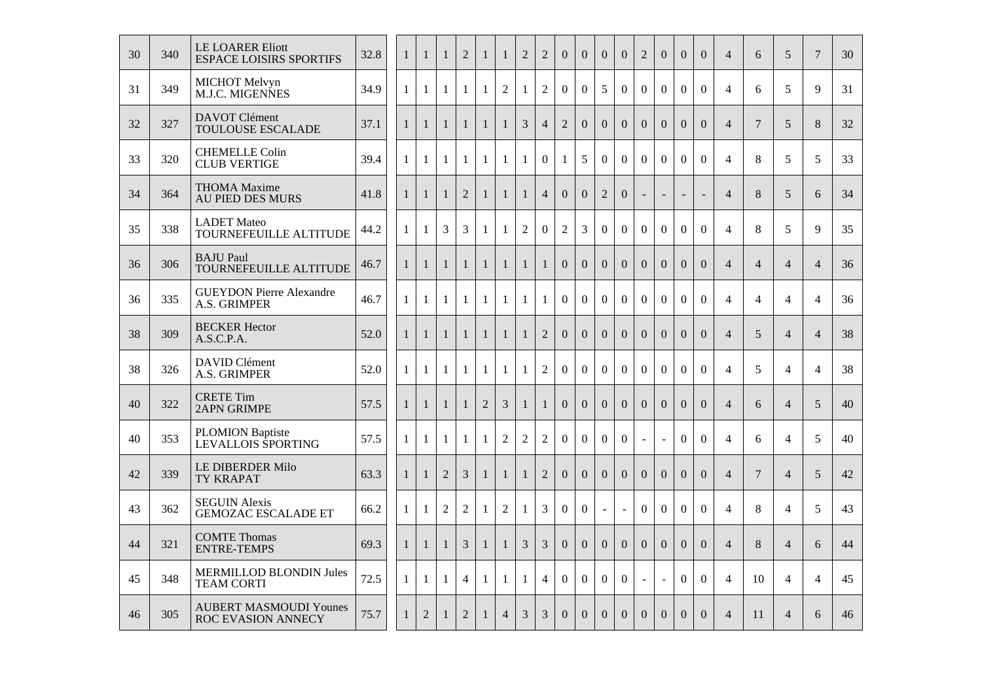| 30 | 340 | <b>LE LOARER Eliott</b><br><b>ESPACE LOISIRS SPORTIFS</b>  | 32.8 | $\mathbf{1}$ | $\mathbf{1}$ | $\mathbf{1}$   | $\overline{2}$ | $\mathbf{1}$   | $\mathbf{1}$   | $\overline{2}$ | $\overline{2}$ | $\overline{0}$ | $\overline{0}$ | $\overline{0}$ | $\overline{0}$   | $\overline{2}$           | $\overline{0}$ | $\overline{0}$           | $\boldsymbol{0}$ | $\overline{4}$ | 6              | 5              | $\overline{7}$ | 30 |
|----|-----|------------------------------------------------------------|------|--------------|--------------|----------------|----------------|----------------|----------------|----------------|----------------|----------------|----------------|----------------|------------------|--------------------------|----------------|--------------------------|------------------|----------------|----------------|----------------|----------------|----|
| 31 | 349 | <b>MICHOT</b> Melvyn<br>M.J.C. MIGENNES                    | 34.9 | $\mathbf{1}$ | $\mathbf{1}$ | $\mathbf{1}$   | $\mathbf{1}$   | $\mathbf{1}$   | $\overline{2}$ | $\mathbf{1}$   | $\overline{2}$ | $\overline{0}$ | $\overline{0}$ | 5              | $\boldsymbol{0}$ | $\overline{0}$           | $\overline{0}$ | $\boldsymbol{0}$         | $\overline{0}$   | $\overline{4}$ | 6              | 5              | 9              | 31 |
| 32 | 327 | <b>DAVOT</b> Clément<br><b>TOULOUSE ESCALADE</b>           | 37.1 | $\mathbf{1}$ | $\mathbf{1}$ | $\mathbf{1}$   | $\mathbf{1}$   | $\mathbf{1}$   | $\mathbf{1}$   | 3              | $\overline{4}$ | $\overline{2}$ | $\Omega$       | $\Omega$       | $\Omega$         | $\Omega$                 | $\Omega$       | $\Omega$                 | $\overline{0}$   | $\overline{4}$ | $\overline{7}$ | 5              | 8              | 32 |
| 33 | 320 | <b>CHEMELLE Colin</b><br><b>CLUB VERTIGE</b>               | 39.4 | $\mathbf{1}$ | 1            | 1              | $\mathbf{1}$   | $\mathbf{1}$   | $\mathbf{1}$   | $\mathbf{1}$   | $\overline{0}$ | $\mathbf{1}$   | 5              | $\Omega$       | $\overline{0}$   | $\overline{0}$           | $\overline{0}$ | $\mathbf{0}$             | $\overline{0}$   | $\overline{4}$ | 8              | 5              | 5              | 33 |
| 34 | 364 | <b>THOMA</b> Maxime<br><b>AU PIED DES MURS</b>             | 41.8 | $\mathbf{1}$ | $\mathbf{1}$ | $\mathbf{1}$   | $\overline{2}$ | $\mathbf{1}$   | $\mathbf{1}$   | $\mathbf{1}$   | $\overline{4}$ | $\overline{0}$ | $\overline{0}$ | $\overline{2}$ | $\overline{0}$   | ÷.                       | ÷.             | $\overline{\phantom{a}}$ | ÷.               | $\overline{4}$ | 8              | 5              | 6              | 34 |
| 35 | 338 | <b>LADET</b> Mateo<br>TOURNEFEUILLE ALTITUDE               | 44.2 | $\mathbf{1}$ | 1            | $\mathfrak{Z}$ | 3              | $\mathbf{1}$   | $\mathbf{1}$   | $\mathbf{2}$   | $\Omega$       | $\mathbf{2}$   | 3              | $\Omega$       | $\overline{0}$   | $\overline{0}$           | $\overline{0}$ | $\Omega$                 | $\mathbf{0}$     | $\overline{4}$ | 8              | 5              | 9              | 35 |
| 36 | 306 | <b>BAJU</b> Paul<br>TOURNEFEUILLE ALTITUDE                 | 46.7 | $\mathbf{1}$ | $\mathbf{1}$ | $\mathbf{1}$   | $\mathbf{1}$   | $\mathbf{1}$   | $\mathbf{1}$   | $\mathbf{1}$   | $\mathbf{1}$   | $\overline{0}$ | $\overline{0}$ | $\overline{0}$ | $\Omega$         | $\Omega$                 | $\Omega$       | $\Omega$                 | $\Omega$         | $\overline{4}$ | $\overline{4}$ | $\overline{4}$ | $\overline{4}$ | 36 |
| 36 | 335 | <b>GUEYDON Pierre Alexandre</b><br>A.S. GRIMPER            | 46.7 | $\mathbf{1}$ | $\mathbf{1}$ | $\mathbf{1}$   | $\mathbf{1}$   | $\mathbf{1}$   | $\mathbf{1}$   | $\mathbf{1}$   | $\mathbf{1}$   | $\overline{0}$ | $\overline{0}$ | $\overline{0}$ | $\overline{0}$   | $\boldsymbol{0}$         | $\overline{0}$ | $\mathbf{0}$             | $\mathbf{0}$     | $\overline{4}$ | $\overline{4}$ | $\overline{4}$ | $\overline{4}$ | 36 |
| 38 | 309 | <b>BECKER Hector</b><br>A.S.C.P.A.                         | 52.0 | $\mathbf{1}$ | $\mathbf{1}$ | $\mathbf{1}$   | $\mathbf{1}$   | $\mathbf{1}$   | $\mathbf{1}$   | $\mathbf{1}$   | $\overline{2}$ | $\Omega$       | $\overline{0}$ | $\Omega$       | $\Omega$         | $\Omega$                 | $\Omega$       | $\Omega$                 | $\overline{0}$   | $\overline{4}$ | 5              | $\overline{4}$ | $\overline{4}$ | 38 |
| 38 | 326 | DAVID Clément<br>A.S. GRIMPER                              | 52.0 | $\mathbf{1}$ | $\mathbf{1}$ | $\mathbf{1}$   | $\mathbf{1}$   | $\mathbf{1}$   | $\mathbf{1}$   | $\mathbf{1}$   | $\overline{2}$ | $\overline{0}$ | $\overline{0}$ | $\overline{0}$ | $\overline{0}$   | $\overline{0}$           | $\overline{0}$ | $\mathbf{0}$             | $\overline{0}$   | $\overline{4}$ | 5              | $\overline{4}$ | $\overline{4}$ | 38 |
| 40 | 322 | <b>CRETE Tim</b><br><b>2APN GRIMPE</b>                     | 57.5 | 1            | $\mathbf{1}$ | $\mathbf{1}$   | $\mathbf{1}$   | $\overline{2}$ | 3              | $\mathbf{1}$   | $\mathbf{1}$   | $\overline{0}$ | $\overline{0}$ | $\overline{0}$ | $\overline{0}$   | $\overline{0}$           | $\overline{0}$ | $\overline{0}$           | $\overline{0}$   | $\overline{4}$ | 6              | $\overline{4}$ | 5              | 40 |
| 40 | 353 | <b>PLOMION Baptiste</b><br>LEVALLOIS SPORTING              | 57.5 | 1            | $\mathbf{1}$ | $\mathbf{1}$   | $\mathbf{1}$   | $\mathbf{1}$   | $\overline{2}$ | $\overline{2}$ | $\overline{2}$ | $\overline{0}$ | $\overline{0}$ | $\overline{0}$ | $\boldsymbol{0}$ | $\sim$                   | $\blacksquare$ | $\mathbf{0}$             | $\overline{0}$   | $\overline{4}$ | 6              | $\overline{4}$ | 5              | 40 |
| 42 | 339 | <b>LE DIBERDER Milo</b><br><b>TY KRAPAT</b>                | 63.3 | $\mathbf{1}$ | $\mathbf{1}$ | $\overline{2}$ | $\overline{3}$ | $\mathbf{1}$   | $\mathbf{1}$   | $\mathbf{1}$   | $\overline{2}$ | $\overline{0}$ | $\Omega$       | $\Omega$       | $\Omega$         | $\Omega$                 | $\Omega$       | $\Omega$                 | $\overline{0}$   | $\overline{4}$ | $\overline{7}$ | $\overline{4}$ | 5              | 42 |
| 43 | 362 | <b>SEGUIN Alexis</b><br><b>GEMOZAC ESCALADE ET</b>         | 66.2 | $\mathbf{1}$ | 1            | $\overline{2}$ | $\overline{2}$ | $\mathbf{1}$   | $\overline{2}$ | $\mathbf{1}$   | $\overline{3}$ | $\overline{0}$ | $\overline{0}$ | $\equiv$       | $\blacksquare$   | $\overline{0}$           | $\overline{0}$ | $\overline{0}$           | $\overline{0}$   | $\overline{4}$ | 8              | $\overline{4}$ | 5              | 43 |
| 44 | 321 | <b>COMTE Thomas</b><br><b>ENTRE-TEMPS</b>                  | 69.3 | $\mathbf{1}$ | $\mathbf{1}$ | $\mathbf{1}$   | $\mathfrak{Z}$ | $\mathbf{1}$   | $\mathbf{1}$   | $\mathfrak{Z}$ | 3              | $\overline{0}$ | $\overline{0}$ | $\overline{0}$ | $\overline{0}$   | $\overline{0}$           | $\overline{0}$ | $\overline{0}$           | $\overline{0}$   | $\overline{4}$ | 8              | $\overline{4}$ | 6              | 44 |
| 45 | 348 | <b>MERMILLOD BLONDIN Jules</b><br><b>TEAM CORTI</b>        | 72.5 | $\mathbf{1}$ | 1            | 1              | $\overline{4}$ | $\mathbf{1}$   | 1              | 1              | $\overline{4}$ | $\overline{0}$ | $\overline{0}$ | $\Omega$       | $\Omega$         | $\overline{\phantom{a}}$ | $\sim$         | $\Omega$                 | $\theta$         | $\overline{4}$ | 10             | $\overline{4}$ | $\overline{4}$ | 45 |
| 46 | 305 | <b>AUBERT MASMOUDI Younes</b><br><b>ROC EVASION ANNECY</b> | 75.7 | 1            | 2            | 1              | $\overline{2}$ | $\mathbf{1}$   | $\overline{4}$ | 3              | 3              | $\Omega$       | $\Omega$       | $\Omega$       | $\Omega$         | $\Omega$                 | $\Omega$       | $\Omega$                 | $\Omega$         | $\overline{4}$ | 11             | $\overline{4}$ | 6              | 46 |